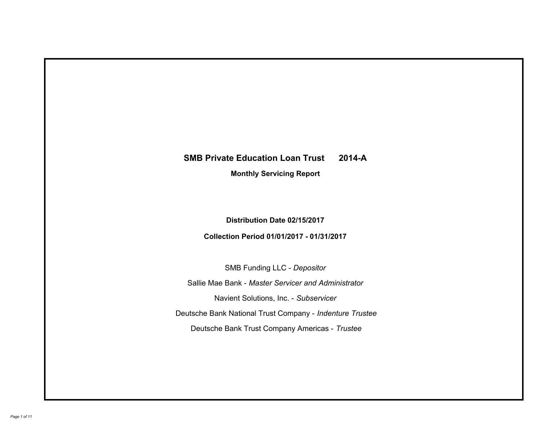# **SMB Private Education Loan Trust 2014-A Monthly Servicing Report**

# **Distribution Date 02/15/2017**

# **Collection Period 01/01/2017 - 01/31/2017**

SMB Funding LLC - *Depositor*

Sallie Mae Bank - *Master Servicer and Administrator*

Navient Solutions, Inc. - *Subservicer*

Deutsche Bank National Trust Company - *Indenture Trustee*

Deutsche Bank Trust Company Americas - *Trustee*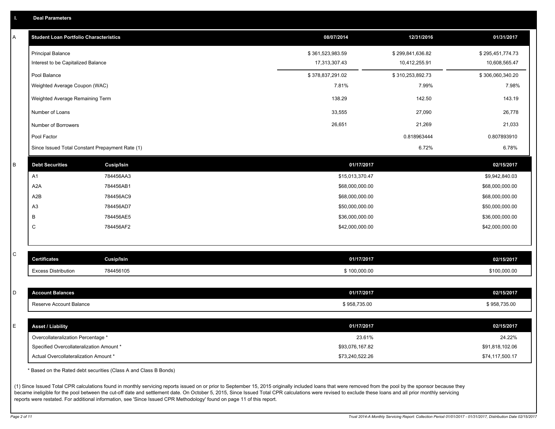|  |  |  | <b>Deal Parameters</b> |  |
|--|--|--|------------------------|--|
|--|--|--|------------------------|--|

| Α       | <b>Student Loan Portfolio Characteristics</b>   |                   | 08/07/2014       | 12/31/2016       | 01/31/2017       |
|---------|-------------------------------------------------|-------------------|------------------|------------------|------------------|
|         | <b>Principal Balance</b>                        |                   | \$361,523,983.59 | \$299,841,636.82 | \$295,451,774.73 |
|         | Interest to be Capitalized Balance              |                   | 17,313,307.43    | 10,412,255.91    | 10,608,565.47    |
|         | Pool Balance                                    |                   | \$378,837,291.02 | \$310,253,892.73 | \$306,060,340.20 |
|         | Weighted Average Coupon (WAC)                   |                   | 7.81%            | 7.99%            | 7.98%            |
|         | Weighted Average Remaining Term                 |                   | 138.29           | 142.50           | 143.19           |
|         | Number of Loans                                 |                   | 33,555           | 27,090           | 26,778           |
|         | Number of Borrowers                             |                   | 26,651           | 21,269           | 21,033           |
|         | Pool Factor                                     |                   |                  | 0.818963444      | 0.807893910      |
|         | Since Issued Total Constant Prepayment Rate (1) |                   |                  | 6.72%            | 6.78%            |
| $\sf B$ | <b>Debt Securities</b>                          | Cusip/Isin        | 01/17/2017       |                  | 02/15/2017       |
|         | A1                                              | 784456AA3         | \$15,013,370.47  |                  | \$9,942,840.03   |
|         | A <sub>2</sub> A                                | 784456AB1         | \$68,000,000.00  |                  | \$68,000,000.00  |
|         | A <sub>2</sub> B                                | 784456AC9         | \$68,000,000.00  |                  | \$68,000,000.00  |
|         | A <sub>3</sub>                                  | 784456AD7         | \$50,000,000.00  |                  | \$50,000,000.00  |
|         | В                                               | 784456AE5         | \$36,000,000.00  |                  | \$36,000,000.00  |
|         | C                                               | 784456AF2         | \$42,000,000.00  |                  | \$42,000,000.00  |
|         |                                                 |                   |                  |                  |                  |
| C       | <b>Certificates</b>                             | <b>Cusip/Isin</b> | 01/17/2017       |                  | 02/15/2017       |
|         | <b>Excess Distribution</b>                      | 784456105         | \$100,000.00     |                  | \$100,000.00     |
|         |                                                 |                   |                  |                  |                  |
| D       | <b>Account Balances</b>                         |                   | 01/17/2017       |                  | 02/15/2017       |
|         | Reserve Account Balance                         |                   | \$958,735.00     |                  | \$958,735.00     |
|         |                                                 |                   |                  |                  |                  |
| E       | <b>Asset / Liability</b>                        |                   | 01/17/2017       |                  | 02/15/2017       |
|         | Overcollateralization Percentage *              |                   | 23.61%           |                  | 24.22%           |
|         | Specified Overcollateralization Amount *        |                   | \$93,076,167.82  |                  | \$91,818,102.06  |
|         | Actual Overcollateralization Amount *           |                   | \$73,240,522.26  |                  | \$74,117,500.17  |

\* Based on the Rated debt securities (Class A and Class B Bonds)

(1) Since Issued Total CPR calculations found in monthly servicing reports issued on or prior to September 15, 2015 originally included loans that were removed from the pool by the sponsor because they became ineligible for the pool between the cut-off date and settlement date. On October 5, 2015, Since Issued Total CPR calculations were revised to exclude these loans and all prior monthly servicing reports were restated. For additional information, see 'Since Issued CPR Methodology' found on page 11 of this report.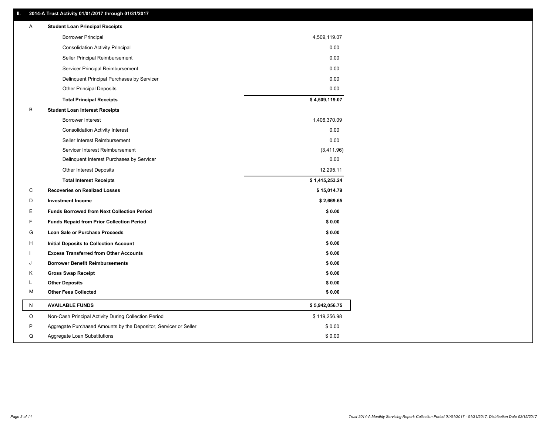### **II. 2014-A Trust Activity 01/01/2017 through 01/31/2017**

| Α         | <b>Student Loan Principal Receipts</b>                           |                |
|-----------|------------------------------------------------------------------|----------------|
|           | <b>Borrower Principal</b>                                        | 4,509,119.07   |
|           | <b>Consolidation Activity Principal</b>                          | 0.00           |
|           | Seller Principal Reimbursement                                   | 0.00           |
|           | Servicer Principal Reimbursement                                 | 0.00           |
|           | Delinquent Principal Purchases by Servicer                       | 0.00           |
|           | <b>Other Principal Deposits</b>                                  | 0.00           |
|           | <b>Total Principal Receipts</b>                                  | \$4,509,119.07 |
| В         | <b>Student Loan Interest Receipts</b>                            |                |
|           | <b>Borrower Interest</b>                                         | 1,406,370.09   |
|           | <b>Consolidation Activity Interest</b>                           | 0.00           |
|           | Seller Interest Reimbursement                                    | 0.00           |
|           | Servicer Interest Reimbursement                                  | (3,411.96)     |
|           | Delinquent Interest Purchases by Servicer                        | 0.00           |
|           | Other Interest Deposits                                          | 12,295.11      |
|           | <b>Total Interest Receipts</b>                                   | \$1,415,253.24 |
| C         | <b>Recoveries on Realized Losses</b>                             | \$15,014.79    |
| D         | <b>Investment Income</b>                                         | \$2,669.65     |
| E         | <b>Funds Borrowed from Next Collection Period</b>                | \$0.00         |
| F         | <b>Funds Repaid from Prior Collection Period</b>                 | \$0.00         |
| G         | <b>Loan Sale or Purchase Proceeds</b>                            | \$0.00         |
| н         | Initial Deposits to Collection Account                           | \$0.00         |
|           | <b>Excess Transferred from Other Accounts</b>                    | \$0.00         |
| ۱.        | <b>Borrower Benefit Reimbursements</b>                           | \$0.00         |
| κ         | <b>Gross Swap Receipt</b>                                        | \$0.00         |
| L         | <b>Other Deposits</b>                                            | \$0.00         |
| М         | <b>Other Fees Collected</b>                                      | \$0.00         |
| ${\sf N}$ | <b>AVAILABLE FUNDS</b>                                           | \$5,942,056.75 |
| $\circ$   | Non-Cash Principal Activity During Collection Period             | \$119,256.98   |
| P         | Aggregate Purchased Amounts by the Depositor, Servicer or Seller | \$0.00         |
| Q         | Aggregate Loan Substitutions                                     | \$0.00         |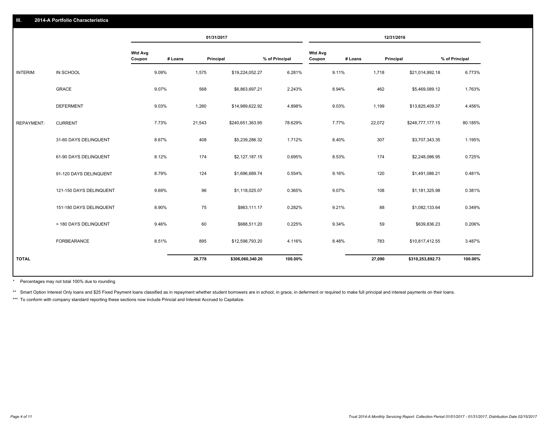|                   |                         |                          | 01/31/2017 |                      | 12/31/2016     |                          |         |                  |                |
|-------------------|-------------------------|--------------------------|------------|----------------------|----------------|--------------------------|---------|------------------|----------------|
|                   |                         | <b>Wtd Avg</b><br>Coupon | # Loans    | Principal            | % of Principal | <b>Wtd Avg</b><br>Coupon | # Loans | Principal        | % of Principal |
| INTERIM:          | IN SCHOOL               | 9.09%                    | 1,575      | \$19,224,052.27      | 6.281%         | 9.11%                    | 1,718   | \$21,014,992.18  | 6.773%         |
|                   | <b>GRACE</b>            | 9.07%                    | 568        | \$6,863,697.21       | 2.243%         | 8.94%                    | 462     | \$5,469,089.12   | 1.763%         |
|                   | <b>DEFERMENT</b>        | 9.03%                    | 1,260      | \$14,989,622.92      | 4.898%         | 9.03%                    | 1,199   | \$13,825,409.37  | 4.456%         |
| <b>REPAYMENT:</b> | <b>CURRENT</b>          | 7.73%                    | 21,543     | \$240,651,363.95     | 78.629%        | 7.77%                    | 22,072  | \$248,777,177.15 | 80.185%        |
|                   | 31-60 DAYS DELINQUENT   | 8.67%                    | 408        | \$5,239,286.32       | 1.712%         | 8.40%                    | 307     | \$3,707,343.35   | 1.195%         |
|                   | 61-90 DAYS DELINQUENT   | 8.12%                    | 174        | \$2,127,187.15       | 0.695%         | 8.53%                    | 174     | \$2,248,086.95   | 0.725%         |
|                   | 91-120 DAYS DELINQUENT  | 8.79%                    | 124        | \$1,696,689.74       | 0.554%         | 9.16%                    | 120     | \$1,491,086.21   | 0.481%         |
|                   | 121-150 DAYS DELINQUENT | 9.69%                    |            | 96<br>\$1,118,025.07 | 0.365%         | 9.07%                    | 108     | \$1,181,325.98   | 0.381%         |
|                   | 151-180 DAYS DELINQUENT | 8.90%                    | 75         | \$863,111.17         | 0.282%         | 9.21%                    | 88      | \$1,082,133.64   | 0.349%         |
|                   | > 180 DAYS DELINQUENT   | 9.46%                    |            | 60<br>\$688,511.20   | 0.225%         | 9.34%                    | 59      | \$639,836.23     | 0.206%         |
|                   | FORBEARANCE             | 8.51%                    | 895        | \$12,598,793.20      | 4.116%         | 8.48%                    | 783     | \$10,817,412.55  | 3.487%         |
| <b>TOTAL</b>      |                         |                          | 26,778     | \$306,060,340.20     | 100.00%        |                          | 27,090  | \$310,253,892.73 | 100.00%        |

Percentages may not total 100% due to rounding \*

\*\* Smart Option Interest Only loans and \$25 Fixed Payment loans classified as in repayment whether student borrowers are in school, in grace, in deferment or required to make full principal and interest payments on their l

\*\*\* To conform with company standard reporting these sections now include Princial and Interest Accrued to Capitalize.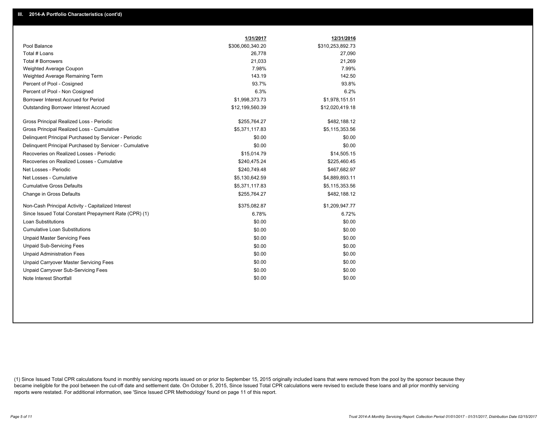|                                                         | 1/31/2017        | 12/31/2016       |
|---------------------------------------------------------|------------------|------------------|
| Pool Balance                                            | \$306,060,340.20 | \$310,253,892.73 |
| Total # Loans                                           | 26,778           | 27,090           |
| Total # Borrowers                                       | 21,033           | 21,269           |
| Weighted Average Coupon                                 | 7.98%            | 7.99%            |
| Weighted Average Remaining Term                         | 143.19           | 142.50           |
| Percent of Pool - Cosigned                              | 93.7%            | 93.8%            |
| Percent of Pool - Non Cosigned                          | 6.3%             | 6.2%             |
| Borrower Interest Accrued for Period                    | \$1,998,373.73   | \$1,978,151.51   |
| Outstanding Borrower Interest Accrued                   | \$12,199,560.39  | \$12,020,419.18  |
| Gross Principal Realized Loss - Periodic                | \$255,764.27     | \$482,188.12     |
| Gross Principal Realized Loss - Cumulative              | \$5,371,117.83   | \$5,115,353.56   |
| Delinquent Principal Purchased by Servicer - Periodic   | \$0.00           | \$0.00           |
| Delinquent Principal Purchased by Servicer - Cumulative | \$0.00           | \$0.00           |
| Recoveries on Realized Losses - Periodic                | \$15,014.79      | \$14,505.15      |
| Recoveries on Realized Losses - Cumulative              | \$240,475.24     | \$225,460.45     |
| Net Losses - Periodic                                   | \$240,749.48     | \$467,682.97     |
| Net Losses - Cumulative                                 | \$5,130,642.59   | \$4,889,893.11   |
| <b>Cumulative Gross Defaults</b>                        | \$5,371,117.83   | \$5,115,353.56   |
| Change in Gross Defaults                                | \$255,764.27     | \$482,188.12     |
| Non-Cash Principal Activity - Capitalized Interest      | \$375,082.87     | \$1,209,947.77   |
| Since Issued Total Constant Prepayment Rate (CPR) (1)   | 6.78%            | 6.72%            |
| Loan Substitutions                                      | \$0.00           | \$0.00           |
| <b>Cumulative Loan Substitutions</b>                    | \$0.00           | \$0.00           |
| <b>Unpaid Master Servicing Fees</b>                     | \$0.00           | \$0.00           |
| <b>Unpaid Sub-Servicing Fees</b>                        | \$0.00           | \$0.00           |
| <b>Unpaid Administration Fees</b>                       | \$0.00           | \$0.00           |
| Unpaid Carryover Master Servicing Fees                  | \$0.00           | \$0.00           |
| Unpaid Carryover Sub-Servicing Fees                     | \$0.00           | \$0.00           |
| Note Interest Shortfall                                 | \$0.00           | \$0.00           |

(1) Since Issued Total CPR calculations found in monthly servicing reports issued on or prior to September 15, 2015 originally included loans that were removed from the pool by the sponsor because they became ineligible for the pool between the cut-off date and settlement date. On October 5, 2015, Since Issued Total CPR calculations were revised to exclude these loans and all prior monthly servicing reports were restated. For additional information, see 'Since Issued CPR Methodology' found on page 11 of this report.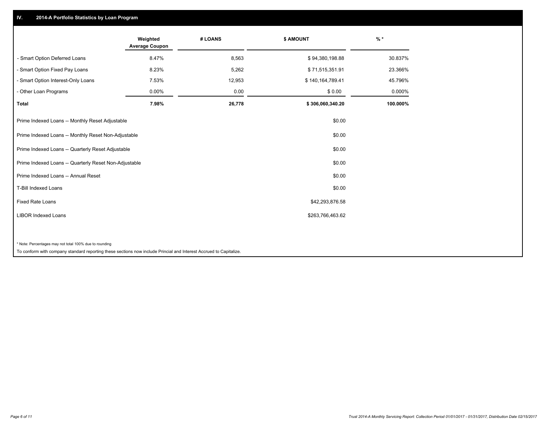## **IV. 2014-A Portfolio Statistics by Loan Program**

|                                                                                                                    | Weighted<br><b>Average Coupon</b> | # LOANS | \$ AMOUNT        | $%$ *    |
|--------------------------------------------------------------------------------------------------------------------|-----------------------------------|---------|------------------|----------|
| - Smart Option Deferred Loans                                                                                      | 8.47%                             | 8,563   | \$94,380,198.88  | 30.837%  |
| - Smart Option Fixed Pay Loans                                                                                     | 8.23%                             | 5,262   | \$71,515,351.91  | 23.366%  |
| - Smart Option Interest-Only Loans                                                                                 | 7.53%                             | 12,953  | \$140,164,789.41 | 45.796%  |
| - Other Loan Programs                                                                                              | 0.00%                             | 0.00    | \$0.00           | 0.000%   |
| <b>Total</b>                                                                                                       | 7.98%                             | 26,778  | \$306,060,340.20 | 100.000% |
| Prime Indexed Loans -- Monthly Reset Adjustable                                                                    |                                   |         | \$0.00           |          |
| Prime Indexed Loans -- Monthly Reset Non-Adjustable                                                                |                                   |         | \$0.00           |          |
| Prime Indexed Loans -- Quarterly Reset Adjustable                                                                  |                                   |         | \$0.00           |          |
| Prime Indexed Loans -- Quarterly Reset Non-Adjustable                                                              |                                   |         | \$0.00           |          |
| Prime Indexed Loans -- Annual Reset                                                                                |                                   |         | \$0.00           |          |
| T-Bill Indexed Loans                                                                                               |                                   |         | \$0.00           |          |
| <b>Fixed Rate Loans</b>                                                                                            |                                   |         | \$42,293,876.58  |          |
| <b>LIBOR Indexed Loans</b>                                                                                         |                                   |         | \$263,766,463.62 |          |
|                                                                                                                    |                                   |         |                  |          |
| * Note: Percentages may not total 100% due to rounding                                                             |                                   |         |                  |          |
| To conform with company standard reporting these sections now include Princial and Interest Accrued to Capitalize. |                                   |         |                  |          |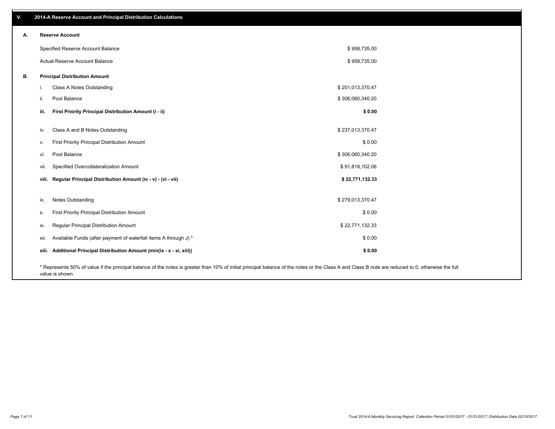| V. |       | 2014-A Reserve Account and Principal Distribution Calculations                                                                                                                                                        |                  |  |
|----|-------|-----------------------------------------------------------------------------------------------------------------------------------------------------------------------------------------------------------------------|------------------|--|
| А. |       | <b>Reserve Account</b>                                                                                                                                                                                                |                  |  |
|    |       | Specified Reserve Account Balance                                                                                                                                                                                     | \$958,735.00     |  |
|    |       | Actual Reserve Account Balance                                                                                                                                                                                        | \$958,735.00     |  |
| В. |       | <b>Principal Distribution Amount</b>                                                                                                                                                                                  |                  |  |
|    | j.    | Class A Notes Outstanding                                                                                                                                                                                             | \$201,013,370.47 |  |
|    | ii.   | Pool Balance                                                                                                                                                                                                          | \$306,060,340.20 |  |
|    | iii.  | First Priority Principal Distribution Amount (i - ii)                                                                                                                                                                 | \$0.00           |  |
|    |       |                                                                                                                                                                                                                       |                  |  |
|    | iv.   | Class A and B Notes Outstanding                                                                                                                                                                                       | \$237,013,370.47 |  |
|    | V.    | First Priority Principal Distribution Amount                                                                                                                                                                          | \$0.00           |  |
|    | vi.   | Pool Balance                                                                                                                                                                                                          | \$306,060,340.20 |  |
|    | vii.  | Specified Overcollateralization Amount                                                                                                                                                                                | \$91,818,102.06  |  |
|    |       | viii. Regular Principal Distribution Amount (iv - v) - (vi - vii)                                                                                                                                                     | \$22,771,132.33  |  |
|    |       |                                                                                                                                                                                                                       |                  |  |
|    | ix.   | Notes Outstanding                                                                                                                                                                                                     | \$279,013,370.47 |  |
|    | х.    | First Priority Principal Distribution Amount                                                                                                                                                                          | \$0.00           |  |
|    | xi.   | Regular Principal Distribution Amount                                                                                                                                                                                 | \$22,771,132.33  |  |
|    | xii.  | Available Funds (after payment of waterfall items A through J) *                                                                                                                                                      | \$0.00           |  |
|    | xiii. | Additional Principal Distribution Amount (min(ix - x - xi, xiii))                                                                                                                                                     | \$0.00           |  |
|    |       | * Represents 50% of value if the principal balance of the notes is greater than 10% of initial principal balance of the notes or the Class A and Class B note are reduced to 0, otherwise the full<br>value is shown. |                  |  |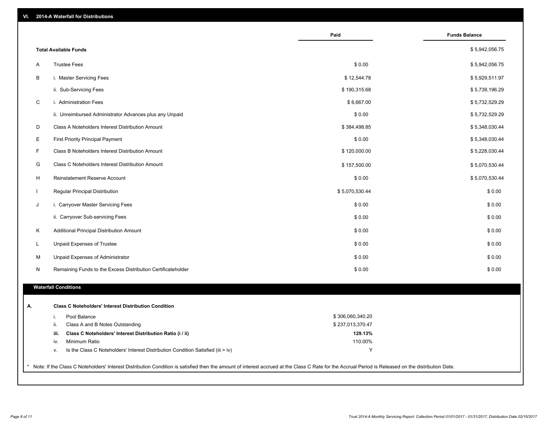| VI. |  | 2014-A Waterfall for Distributions |  |  |  |
|-----|--|------------------------------------|--|--|--|
|-----|--|------------------------------------|--|--|--|

| <b>Total Available Funds</b><br><b>Trustee Fees</b><br>\$0.00<br>Α<br>В<br>i. Master Servicing Fees<br>\$12,544.78<br>ii. Sub-Servicing Fees<br>\$190,315.68<br>C<br>\$6,667.00<br>i. Administration Fees<br>\$0.00<br>ii. Unreimbursed Administrator Advances plus any Unpaid<br>\$384,498.85<br>D<br>Class A Noteholders Interest Distribution Amount<br>Е<br>\$0.00<br><b>First Priority Principal Payment</b><br>F<br>Class B Noteholders Interest Distribution Amount<br>\$120,000.00<br>G<br>Class C Noteholders Interest Distribution Amount<br>\$157,500.00<br>Н<br>Reinstatement Reserve Account<br>\$0.00<br>Regular Principal Distribution<br>\$5,070,530.44<br>$\mathbf{I}$<br>J<br>i. Carryover Master Servicing Fees<br>\$0.00<br>ii. Carryover Sub-servicing Fees<br>\$0.00<br>Κ<br>\$0.00<br>Additional Principal Distribution Amount<br><b>Unpaid Expenses of Trustee</b><br>\$0.00<br>L<br>Unpaid Expenses of Administrator<br>\$0.00<br>М<br>Remaining Funds to the Excess Distribution Certificateholder<br>\$0.00<br>N<br><b>Waterfall Conditions</b><br>А.<br><b>Class C Noteholders' Interest Distribution Condition</b><br>\$306,060,340.20<br>Pool Balance<br>j.<br>ii.<br>\$237,013,370.47<br>Class A and B Notes Outstanding<br>Class C Noteholders' Interest Distribution Ratio (i / ii)<br>129.13%<br>iii.<br>Minimum Ratio<br>110.00%<br>iv.<br>Y<br>Is the Class C Noteholders' Interest Distribution Condition Satisfied (iii > iv)<br>v. | Paid | <b>Funds Balance</b> |
|---------------------------------------------------------------------------------------------------------------------------------------------------------------------------------------------------------------------------------------------------------------------------------------------------------------------------------------------------------------------------------------------------------------------------------------------------------------------------------------------------------------------------------------------------------------------------------------------------------------------------------------------------------------------------------------------------------------------------------------------------------------------------------------------------------------------------------------------------------------------------------------------------------------------------------------------------------------------------------------------------------------------------------------------------------------------------------------------------------------------------------------------------------------------------------------------------------------------------------------------------------------------------------------------------------------------------------------------------------------------------------------------------------------------------------------------------------------------------|------|----------------------|
|                                                                                                                                                                                                                                                                                                                                                                                                                                                                                                                                                                                                                                                                                                                                                                                                                                                                                                                                                                                                                                                                                                                                                                                                                                                                                                                                                                                                                                                                           |      | \$5,942,056.75       |
|                                                                                                                                                                                                                                                                                                                                                                                                                                                                                                                                                                                                                                                                                                                                                                                                                                                                                                                                                                                                                                                                                                                                                                                                                                                                                                                                                                                                                                                                           |      | \$5,942,056.75       |
|                                                                                                                                                                                                                                                                                                                                                                                                                                                                                                                                                                                                                                                                                                                                                                                                                                                                                                                                                                                                                                                                                                                                                                                                                                                                                                                                                                                                                                                                           |      | \$5,929,511.97       |
|                                                                                                                                                                                                                                                                                                                                                                                                                                                                                                                                                                                                                                                                                                                                                                                                                                                                                                                                                                                                                                                                                                                                                                                                                                                                                                                                                                                                                                                                           |      | \$5,739,196.29       |
|                                                                                                                                                                                                                                                                                                                                                                                                                                                                                                                                                                                                                                                                                                                                                                                                                                                                                                                                                                                                                                                                                                                                                                                                                                                                                                                                                                                                                                                                           |      | \$5,732,529.29       |
|                                                                                                                                                                                                                                                                                                                                                                                                                                                                                                                                                                                                                                                                                                                                                                                                                                                                                                                                                                                                                                                                                                                                                                                                                                                                                                                                                                                                                                                                           |      | \$5,732,529.29       |
|                                                                                                                                                                                                                                                                                                                                                                                                                                                                                                                                                                                                                                                                                                                                                                                                                                                                                                                                                                                                                                                                                                                                                                                                                                                                                                                                                                                                                                                                           |      | \$5,348,030.44       |
|                                                                                                                                                                                                                                                                                                                                                                                                                                                                                                                                                                                                                                                                                                                                                                                                                                                                                                                                                                                                                                                                                                                                                                                                                                                                                                                                                                                                                                                                           |      | \$5,348,030.44       |
|                                                                                                                                                                                                                                                                                                                                                                                                                                                                                                                                                                                                                                                                                                                                                                                                                                                                                                                                                                                                                                                                                                                                                                                                                                                                                                                                                                                                                                                                           |      | \$5,228,030.44       |
|                                                                                                                                                                                                                                                                                                                                                                                                                                                                                                                                                                                                                                                                                                                                                                                                                                                                                                                                                                                                                                                                                                                                                                                                                                                                                                                                                                                                                                                                           |      | \$5,070,530.44       |
|                                                                                                                                                                                                                                                                                                                                                                                                                                                                                                                                                                                                                                                                                                                                                                                                                                                                                                                                                                                                                                                                                                                                                                                                                                                                                                                                                                                                                                                                           |      | \$5,070,530.44       |
|                                                                                                                                                                                                                                                                                                                                                                                                                                                                                                                                                                                                                                                                                                                                                                                                                                                                                                                                                                                                                                                                                                                                                                                                                                                                                                                                                                                                                                                                           |      | \$0.00               |
|                                                                                                                                                                                                                                                                                                                                                                                                                                                                                                                                                                                                                                                                                                                                                                                                                                                                                                                                                                                                                                                                                                                                                                                                                                                                                                                                                                                                                                                                           |      | \$0.00               |
|                                                                                                                                                                                                                                                                                                                                                                                                                                                                                                                                                                                                                                                                                                                                                                                                                                                                                                                                                                                                                                                                                                                                                                                                                                                                                                                                                                                                                                                                           |      | \$0.00               |
|                                                                                                                                                                                                                                                                                                                                                                                                                                                                                                                                                                                                                                                                                                                                                                                                                                                                                                                                                                                                                                                                                                                                                                                                                                                                                                                                                                                                                                                                           |      | \$0.00               |
|                                                                                                                                                                                                                                                                                                                                                                                                                                                                                                                                                                                                                                                                                                                                                                                                                                                                                                                                                                                                                                                                                                                                                                                                                                                                                                                                                                                                                                                                           |      | \$0.00               |
|                                                                                                                                                                                                                                                                                                                                                                                                                                                                                                                                                                                                                                                                                                                                                                                                                                                                                                                                                                                                                                                                                                                                                                                                                                                                                                                                                                                                                                                                           |      | \$0.00               |
|                                                                                                                                                                                                                                                                                                                                                                                                                                                                                                                                                                                                                                                                                                                                                                                                                                                                                                                                                                                                                                                                                                                                                                                                                                                                                                                                                                                                                                                                           |      | \$0.00               |
|                                                                                                                                                                                                                                                                                                                                                                                                                                                                                                                                                                                                                                                                                                                                                                                                                                                                                                                                                                                                                                                                                                                                                                                                                                                                                                                                                                                                                                                                           |      |                      |
|                                                                                                                                                                                                                                                                                                                                                                                                                                                                                                                                                                                                                                                                                                                                                                                                                                                                                                                                                                                                                                                                                                                                                                                                                                                                                                                                                                                                                                                                           |      |                      |
|                                                                                                                                                                                                                                                                                                                                                                                                                                                                                                                                                                                                                                                                                                                                                                                                                                                                                                                                                                                                                                                                                                                                                                                                                                                                                                                                                                                                                                                                           |      |                      |
|                                                                                                                                                                                                                                                                                                                                                                                                                                                                                                                                                                                                                                                                                                                                                                                                                                                                                                                                                                                                                                                                                                                                                                                                                                                                                                                                                                                                                                                                           |      |                      |
|                                                                                                                                                                                                                                                                                                                                                                                                                                                                                                                                                                                                                                                                                                                                                                                                                                                                                                                                                                                                                                                                                                                                                                                                                                                                                                                                                                                                                                                                           |      |                      |
|                                                                                                                                                                                                                                                                                                                                                                                                                                                                                                                                                                                                                                                                                                                                                                                                                                                                                                                                                                                                                                                                                                                                                                                                                                                                                                                                                                                                                                                                           |      |                      |
|                                                                                                                                                                                                                                                                                                                                                                                                                                                                                                                                                                                                                                                                                                                                                                                                                                                                                                                                                                                                                                                                                                                                                                                                                                                                                                                                                                                                                                                                           |      |                      |
|                                                                                                                                                                                                                                                                                                                                                                                                                                                                                                                                                                                                                                                                                                                                                                                                                                                                                                                                                                                                                                                                                                                                                                                                                                                                                                                                                                                                                                                                           |      |                      |
| Note: If the Class C Noteholders' Interest Distribution Condition is satisfied then the amount of interest accrued at the Class C Rate for the Accrual Period is Released on the distribution Date.                                                                                                                                                                                                                                                                                                                                                                                                                                                                                                                                                                                                                                                                                                                                                                                                                                                                                                                                                                                                                                                                                                                                                                                                                                                                       |      |                      |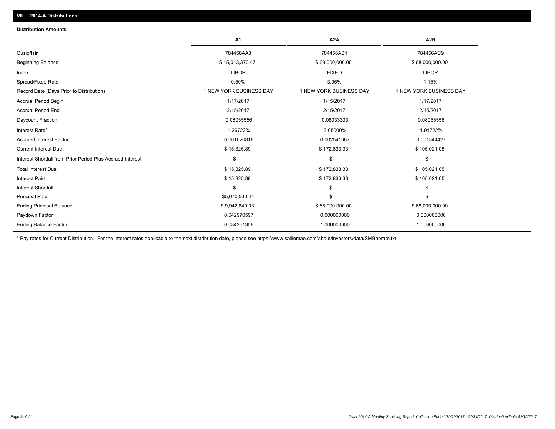| <b>Distribution Amounts</b>                                |                         |                         |                         |
|------------------------------------------------------------|-------------------------|-------------------------|-------------------------|
|                                                            | <b>A1</b>               | A <sub>2</sub> A        | A <sub>2</sub> B        |
| Cusip/Isin                                                 | 784456AA3               | 784456AB1               | 784456AC9               |
| <b>Beginning Balance</b>                                   | \$15,013,370.47         | \$68,000,000.00         | \$68,000,000.00         |
| Index                                                      | <b>LIBOR</b>            | <b>FIXED</b>            | <b>LIBOR</b>            |
| Spread/Fixed Rate                                          | 0.50%                   | 3.05%                   | 1.15%                   |
| Record Date (Days Prior to Distribution)                   | 1 NEW YORK BUSINESS DAY | 1 NEW YORK BUSINESS DAY | 1 NEW YORK BUSINESS DAY |
| <b>Accrual Period Begin</b>                                | 1/17/2017               | 1/15/2017               | 1/17/2017               |
| <b>Accrual Period End</b>                                  | 2/15/2017               | 2/15/2017               | 2/15/2017               |
| Daycount Fraction                                          | 0.08055556              | 0.08333333              | 0.08055556              |
| Interest Rate*                                             | 1.26722%                | 3.05000%                | 1.91722%                |
| <b>Accrued Interest Factor</b>                             | 0.001020816             | 0.002541667             | 0.001544427             |
| <b>Current Interest Due</b>                                | \$15,325.89             | \$172,833.33            | \$105,021.05            |
| Interest Shortfall from Prior Period Plus Accrued Interest | $\mathsf{\$}$ -         | $\mathsf{\$}$ -         | $S -$                   |
| <b>Total Interest Due</b>                                  | \$15,325.89             | \$172,833.33            | \$105,021.05            |
| <b>Interest Paid</b>                                       | \$15,325.89             | \$172,833.33            | \$105,021.05            |
| <b>Interest Shortfall</b>                                  | $S -$                   | $\frac{2}{3}$ -         | $$ -$                   |
| <b>Principal Paid</b>                                      | \$5,070,530.44          | $$ -$                   | $S -$                   |
| <b>Ending Principal Balance</b>                            | \$9,942,840.03          | \$68,000,000.00         | \$68,000,000.00         |
| Paydown Factor                                             | 0.042970597             | 0.000000000             | 0.000000000             |
| <b>Ending Balance Factor</b>                               | 0.084261356             | 1.000000000             | 1.000000000             |

\* Pay rates for Current Distribution. For the interest rates applicable to the next distribution date, please see https://www.salliemae.com/about/investors/data/SMBabrate.txt.

**VII. 2014-A Distributions**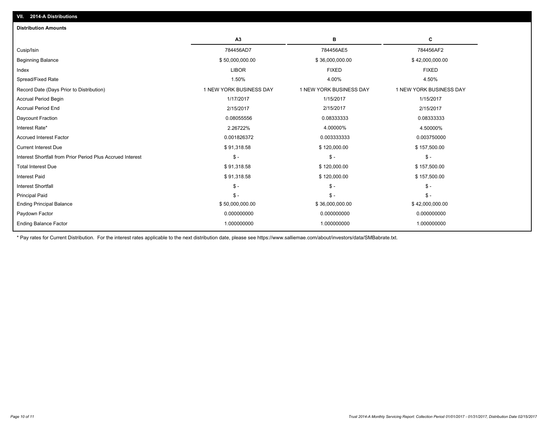|                                                            | A <sub>3</sub>          | в                       | c                       |
|------------------------------------------------------------|-------------------------|-------------------------|-------------------------|
| Cusip/Isin                                                 | 784456AD7               | 784456AE5               | 784456AF2               |
| <b>Beginning Balance</b>                                   | \$50,000,000.00         | \$36,000,000.00         | \$42,000,000.00         |
| Index                                                      | <b>LIBOR</b>            | <b>FIXED</b>            | <b>FIXED</b>            |
| Spread/Fixed Rate                                          | 1.50%                   | 4.00%                   | 4.50%                   |
| Record Date (Days Prior to Distribution)                   | 1 NEW YORK BUSINESS DAY | 1 NEW YORK BUSINESS DAY | 1 NEW YORK BUSINESS DAY |
| <b>Accrual Period Begin</b>                                | 1/17/2017               | 1/15/2017               | 1/15/2017               |
| <b>Accrual Period End</b>                                  | 2/15/2017               | 2/15/2017               | 2/15/2017               |
| Daycount Fraction                                          | 0.08055556              | 0.08333333              | 0.08333333              |
| Interest Rate*                                             | 2.26722%                | 4.00000%                | 4.50000%                |
| <b>Accrued Interest Factor</b>                             | 0.001826372             | 0.003333333             | 0.003750000             |
| <b>Current Interest Due</b>                                | \$91,318.58             | \$120,000.00            | \$157,500.00            |
| Interest Shortfall from Prior Period Plus Accrued Interest | $\mathsf S$ -           | $$ -$                   | $$ -$                   |
| <b>Total Interest Due</b>                                  | \$91,318.58             | \$120,000.00            | \$157,500.00            |
| <b>Interest Paid</b>                                       | \$91,318.58             | \$120,000.00            | \$157,500.00            |
| <b>Interest Shortfall</b>                                  | $S -$                   | $\mathsf{\$}$ -         | $\mathcal{S}$ -         |
| <b>Principal Paid</b>                                      | $S -$                   | $S -$                   | $$ -$                   |
| <b>Ending Principal Balance</b>                            | \$50,000,000.00         | \$36,000,000.00         | \$42,000,000.00         |
| Paydown Factor                                             | 0.000000000             | 0.000000000             | 0.000000000             |
| <b>Ending Balance Factor</b>                               | 1.000000000             | 1.000000000             | 1.000000000             |

\* Pay rates for Current Distribution. For the interest rates applicable to the next distribution date, please see https://www.salliemae.com/about/investors/data/SMBabrate.txt.

**VII. 2014-A Distributions**